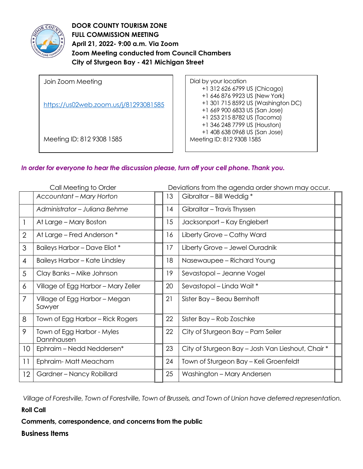

**DOOR COUNTY TOURISM ZONE FULL COMMISSION MEETING April 21, 2022- 9:00 a.m. Via Zoom Zoom Meeting conducted from Council Chambers City of Sturgeon Bay - 421 Michigan Street** 

| Join Zoom Meeting                     | Dial by your location              |
|---------------------------------------|------------------------------------|
|                                       | +1 312 626 6799 US (Chicago)       |
|                                       | +1 646 876 9923 US (New York)      |
| https://us02web.zoom.us/j/81293081585 | +1 301 715 8592 US (Washington DC) |
|                                       | +1 669 900 6833 US (San Jose)      |
|                                       | +1 253 215 8782 US (Tacoma)        |
|                                       | +1 346 248 7799 US (Houston)       |
|                                       | +1 408 638 0968 US (San Jose)      |
| Meeting ID: 812 9308 1585             | Meeting ID: 812 9308 1585          |
|                                       |                                    |

### *In order for everyone to hear the discussion please, turn off your cell phone. Thank you.*

| Call Meeting to Order |                                          |  | Deviations from the agenda order shown may occur. |                                                   |
|-----------------------|------------------------------------------|--|---------------------------------------------------|---------------------------------------------------|
|                       | <b>Accountant - Mary Horton</b>          |  | 13                                                | Gibraltar - Bill Weddig *                         |
|                       | Administrator - Juliana Behme            |  | 14                                                | Gibraltar - Travis Thyssen                        |
| 1                     | At Large – Mary Boston                   |  | 15                                                | Jacksonport – Kay Englebert                       |
| $\overline{2}$        | At Large – Fred Anderson *               |  | 16                                                | Liberty Grove - Cathy Ward                        |
| 3                     | Baileys Harbor - Dave Eliot *            |  | 17                                                | Liberty Grove - Jewel Ouradnik                    |
| $\overline{4}$        | <b>Baileys Harbor - Kate Lindsley</b>    |  | 18                                                | Nasewaupee – Richard Young                        |
| 5                     | Clay Banks - Mike Johnson                |  | 19                                                | Sevastopol – Jeanne Vogel                         |
| 6                     | Village of Egg Harbor - Mary Zeller      |  | 20                                                | Sevastopol – Linda Wait *                         |
| 7                     | Village of Egg Harbor - Megan<br>Sawyer  |  | 21                                                | Sister Bay - Beau Bernhoft                        |
| 8                     | Town of Egg Harbor – Rick Rogers         |  | 22                                                | Sister Bay – Rob Zoschke                          |
| 9                     | Town of Egg Harbor - Myles<br>Dannhausen |  | 22                                                | City of Sturgeon Bay – Pam Seiler                 |
| 10 <sup>°</sup>       | Ephraim - Nedd Neddersen*                |  | 23                                                | City of Sturgeon Bay - Josh Van Lieshout, Chair * |
| 11                    | Ephraim-Matt Meacham                     |  | 24                                                | Town of Sturgeon Bay - Keli Groenfeldt            |
| 12                    | Gardner - Nancy Robillard                |  | 25                                                | Washington - Mary Andersen                        |

*Village of Forestville, Town of Forestville, Town of Brussels, and Town of Union have deferred representation.*

### **Roll Call**

## **Comments, correspondence, and concerns from the public**

### **Business Items**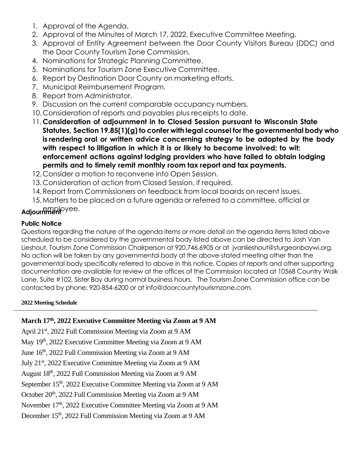- 1. Approval of the Agenda.
- 2. Approval of the Minutes of March 17, 2022, Executive Committee Meeting.
- 3. Approval of Entity Agreement between the Door County Visitors Bureau (DDC) and the Door County Tourism Zone Commission.
- 4. Nominations for Strategic Planning Committee.
- 5. Nominations for Tourism Zone Executive Committee.
- 6. Report by Destination Door County on marketing efforts.
- 7. Municipal Reimbursement Program.
- 8. Report from Administrator.
- 9. Discussion on the current comparable occupancy numbers.
- 10. Consideration of reports and payables plus receipts to date.
- 11.**Consideration of adjournment in to Closed Session pursuant to Wisconsin State Statutes, Section 19.85(1)(g) to confer with legal counsel for the governmental body who is rendering oral or written advice concerning strategy to be adopted by the body with respect to litigation in which it is or likely to become involved; to wit: enforcement actions against lodging providers who have failed to obtain lodging permits and to timely remit monthly room tax report and tax payments.**
- 12. Consider a motion to reconvene into Open Session.
- 13. Consideration of action from Closed Session, if required.
- 14.Report from Commissioners on feedback from local boards on recent issues.
- 15.Matters to be placed on a future agenda or referred to a committee, official or

# employee. **Adjournment**

### **Public Notice**

Questions regarding the nature of the agenda items or more detail on the agenda items listed above scheduled to be considered by the governmental body listed above can be directed to Josh Van Lieshout, Tourism Zone Commission Chairperson at 920.746.6905 or at jvanlieshout@sturgeonbaywi.org. No action will be taken by any governmental body at the above-stated meeting other than the governmental body specifically referred to above in this notice. Copies of reports and other supporting documentation are available for review at the offices of the Commission located at 10568 Country Walk Lane, Suite #102, Sister Bay during normal business hours. The Tourism Zone Commission office can be contacted by phone: 920-854-6200 or at info@doorcountytourismzone.com.

### **2022 Meeting Schedule**

## **March 17th, 2022 Executive Committee Meeting via Zoom at 9 AM**

April 21<sup>st</sup>, 2022 Full Commission Meeting via Zoom at 9 AM May 19<sup>th</sup>, 2022 Executive Committee Meeting via Zoom at 9 AM June 16<sup>th</sup>, 2022 Full Commission Meeting via Zoom at 9 AM July 21<sup>st</sup>, 2022 Executive Committee Meeting via Zoom at 9 AM August 18<sup>th</sup>, 2022 Full Commission Meeting via Zoom at 9 AM September 15<sup>th</sup>, 2022 Executive Committee Meeting via Zoom at 9 AM October 20<sup>th</sup>, 2022 Full Commission Meeting via Zoom at 9 AM November 17<sup>th</sup>, 2022 Executive Committee Meeting via Zoom at 9 AM December 15<sup>th</sup>, 2022 Full Commission Meeting via Zoom at 9 AM